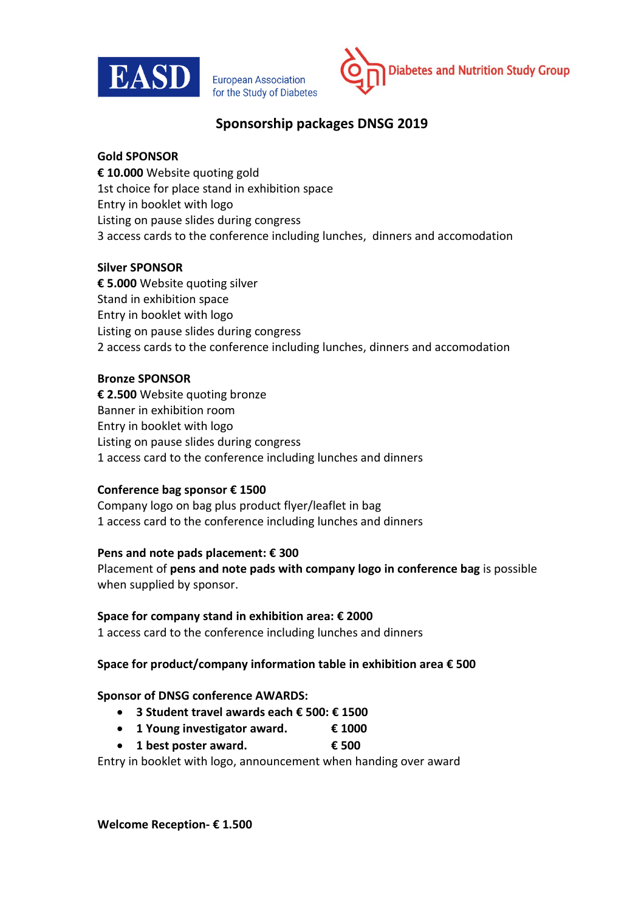

**European Association** for the Study of Diabetes



# **Sponsorship packages DNSG 2019**

## **Gold SPONSOR**

**€ 10.000** Website quoting gold 1st choice for place stand in exhibition space Entry in booklet with logo Listing on pause slides during congress 3 access cards to the conference including lunches, dinners and accomodation

## **Silver SPONSOR**

**€ 5.000** Website quoting silver Stand in exhibition space Entry in booklet with logo Listing on pause slides during congress 2 access cards to the conference including lunches, dinners and accomodation

## **Bronze SPONSOR**

**€ 2.500** Website quoting bronze Banner in exhibition room Entry in booklet with logo Listing on pause slides during congress 1 access card to the conference including lunches and dinners

## **Conference bag sponsor € 1500**

Company logo on bag plus product flyer/leaflet in bag 1 access card to the conference including lunches and dinners

## **Pens and note pads placement: € 300**

Placement of **pens and note pads with company logo in conference bag** is possible when supplied by sponsor.

## **Space for company stand in exhibition area: € 2000**

1 access card to the conference including lunches and dinners

## **Space for product/company information table in exhibition area € 500**

## **Sponsor of DNSG conference AWARDS:**

- **3 Student travel awards each € 500: € 1500**
- **1 Young investigator award. € 1000**
- **1 best poster award. € 500**

Entry in booklet with logo, announcement when handing over award

**Welcome Reception- € 1.500**